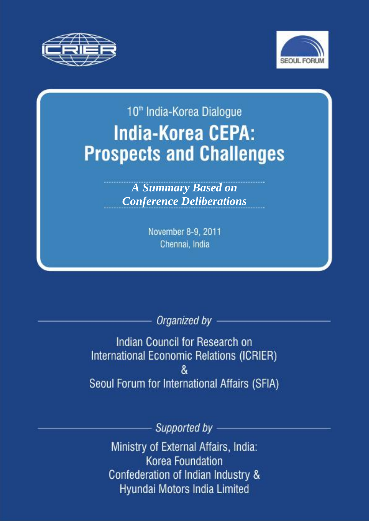



# 10<sup>th</sup> India-Korea Dialogue **India-Korea CEPA: Prospects and Challenges**

**A Summary Based on Conference Deliberations** 

> November 8-9, 2011 Chennai, India

> > Organized by

Indian Council for Research on International Economic Relations (ICRIER) & Seoul Forum for International Affairs (SFIA)

Supported by

Ministry of External Affairs, India: **Korea Foundation** Confederation of Indian Industry & Hyundai Motors India Limited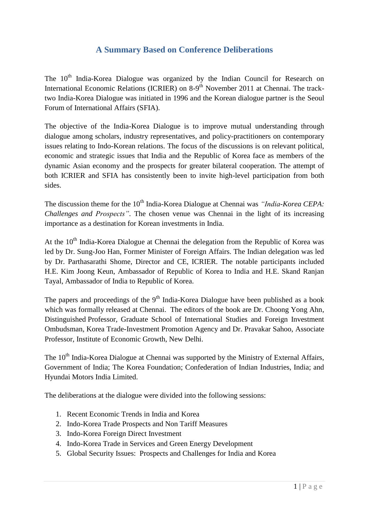## **A Summary Based on Conference Deliberations**

The 10<sup>th</sup> India-Korea Dialogue was organized by the Indian Council for Research on International Economic Relations (ICRIER) on 8-9<sup>th</sup> November 2011 at Chennai. The tracktwo India-Korea Dialogue was initiated in 1996 and the Korean dialogue partner is the Seoul Forum of International Affairs (SFIA).

The objective of the India-Korea Dialogue is to improve mutual understanding through dialogue among scholars, industry representatives, and policy-practitioners on contemporary issues relating to Indo-Korean relations. The focus of the discussions is on relevant political, economic and strategic issues that India and the Republic of Korea face as members of the dynamic Asian economy and the prospects for greater bilateral cooperation. The attempt of both ICRIER and SFIA has consistently been to invite high-level participation from both sides.

The discussion theme for the 10<sup>th</sup> India-Korea Dialogue at Chennai was *"India-Korea CEPA*: *Challenges and Prospects"*. The chosen venue was Chennai in the light of its increasing importance as a destination for Korean investments in India.

At the 10<sup>th</sup> India-Korea Dialogue at Chennai the delegation from the Republic of Korea was led by Dr. Sung-Joo Han, Former Minister of Foreign Affairs. The Indian delegation was led by Dr. Parthasarathi Shome, Director and CE, ICRIER. The notable participants included H.E. Kim Joong Keun, Ambassador of Republic of Korea to India and H.E. Skand Ranjan Tayal, Ambassador of India to Republic of Korea.

The papers and proceedings of the  $9<sup>th</sup>$  India-Korea Dialogue have been published as a book which was formally released at Chennai. The editors of the book are Dr. Choong Yong Ahn, Distinguished Professor, Graduate School of International Studies and Foreign Investment Ombudsman, Korea Trade-Investment Promotion Agency and Dr. Pravakar Sahoo, Associate Professor, Institute of Economic Growth, New Delhi.

The 10<sup>th</sup> India-Korea Dialogue at Chennai was supported by the Ministry of External Affairs, Government of India; The Korea Foundation; Confederation of Indian Industries, India; and Hyundai Motors India Limited.

The deliberations at the dialogue were divided into the following sessions:

- 1. Recent Economic Trends in India and Korea
- 2. Indo-Korea Trade Prospects and Non Tariff Measures
- 3. Indo-Korea Foreign Direct Investment
- 4. Indo-Korea Trade in Services and Green Energy Development
- 5. Global Security Issues: Prospects and Challenges for India and Korea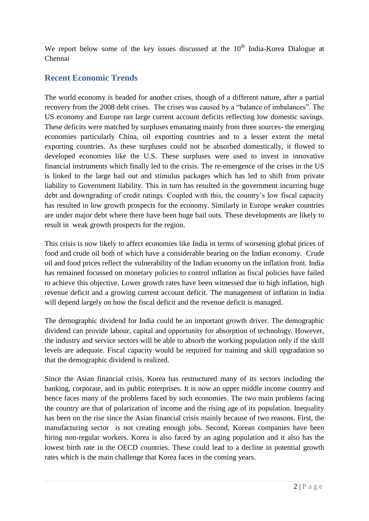We report below some of the key issues discussed at the  $10<sup>th</sup>$  India-Korea Dialogue at Chennai

## **Recent Economic Trends**

The world economy is headed for another crises, though of a different nature, after a partial recovery from the 2008 debt crises. The crises was caused by a "balance of imbalances". The US economy and Europe ran large current account deficits reflecting low domestic savings. These deficits were matched by surpluses emanating mainly from three sources- the emerging economies particularly China, oil exporting countries and to a lesser extent the metal exporting countries. As these surpluses could not be absorbed domestically, it flowed to developed economies like the U.S. These surpluses were used to invest in innovative financial instruments which finally led to the crisis. The re-emergence of the crises in the US is linked to the large bail out and stimulus packages which has led to shift from private liability to Government liability. This in turn has resulted in the government incurring huge debt and downgrading of credit ratings. Coupled with this, the country"s low fiscal capacity has resulted in low growth prospects for the economy. Similarly in Europe weaker countries are under major debt where there have been huge bail outs. These developments are likely to result in weak growth prospects for the region.

This crisis is now likely to affect economies like India in terms of worsening global prices of food and crude oil both of which have a considerable bearing on the Indian economy. Crude oil and food prices reflect the vulnerability of the Indian economy on the inflation front. India has remained focussed on monetary policies to control inflation as fiscal policies have failed to achieve this objective. Lower growth rates have been witnessed due to high inflation, high revenue deficit and a growing current account deficit. The management of inflation in India will depend largely on how the fiscal deficit and the revenue deficit is managed.

The demographic dividend for India could be an important growth driver. The demographic dividend can provide labour, capital and opportunity for absorption of technology. However, the industry and service sectors will be able to absorb the working population only if the skill levels are adequate. Fiscal capacity would be required for training and skill upgradation so that the demographic dividend is realized.

Since the Asian financial crisis, Korea has restructured many of its sectors including the banking, corporate, and its public enterprises. It is now an upper middle income country and hence faces many of the problems faced by such economies. The two main problems facing the country are that of polarization of income and the rising age of its population. Inequality has been on the rise since the Asian financial crisis mainly because of two reasons. First, the manufacturing sector is not creating enough jobs. Second, Korean companies have been hiring non-regular workers. Korea is also faced by an aging population and it also has the lowest birth rate in the OECD countries. These could lead to a decline in potential growth rates which is the main challenge that Korea faces in the coming years.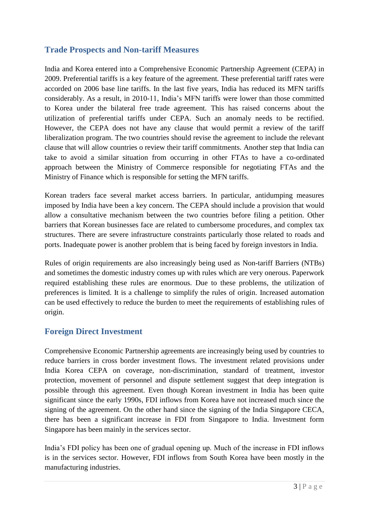### **Trade Prospects and Non-tariff Measures**

India and Korea entered into a Comprehensive Economic Partnership Agreement (CEPA) in 2009. Preferential tariffs is a key feature of the agreement. These preferential tariff rates were accorded on 2006 base line tariffs. In the last five years, India has reduced its MFN tariffs considerably. As a result, in 2010-11, India"s MFN tariffs were lower than those committed to Korea under the bilateral free trade agreement. This has raised concerns about the utilization of preferential tariffs under CEPA. Such an anomaly needs to be rectified. However, the CEPA does not have any clause that would permit a review of the tariff liberalization program. The two countries should revise the agreement to include the relevant clause that will allow countries o review their tariff commitments. Another step that India can take to avoid a similar situation from occurring in other FTAs to have a co-ordinated approach between the Ministry of Commerce responsible for negotiating FTAs and the Ministry of Finance which is responsible for setting the MFN tariffs.

Korean traders face several market access barriers. In particular, antidumping measures imposed by India have been a key concern. The CEPA should include a provision that would allow a consultative mechanism between the two countries before filing a petition. Other barriers that Korean businesses face are related to cumbersome procedures, and complex tax structures. There are severe infrastructure constraints particularly those related to roads and ports. Inadequate power is another problem that is being faced by foreign investors in India.

Rules of origin requirements are also increasingly being used as Non-tariff Barriers (NTBs) and sometimes the domestic industry comes up with rules which are very onerous. Paperwork required establishing these rules are enormous. Due to these problems, the utilization of preferences is limited. It is a challenge to simplify the rules of origin. Increased automation can be used effectively to reduce the burden to meet the requirements of establishing rules of origin.

#### **Foreign Direct Investment**

Comprehensive Economic Partnership agreements are increasingly being used by countries to reduce barriers in cross border investment flows. The investment related provisions under India Korea CEPA on coverage, non-discrimination, standard of treatment, investor protection, movement of personnel and dispute settlement suggest that deep integration is possible through this agreement. Even though Korean investment in India has been quite significant since the early 1990s, FDI inflows from Korea have not increased much since the signing of the agreement. On the other hand since the signing of the India Singapore CECA, there has been a significant increase in FDI from Singapore to India. Investment form Singapore has been mainly in the services sector.

India"s FDI policy has been one of gradual opening up. Much of the increase in FDI inflows is in the services sector. However, FDI inflows from South Korea have been mostly in the manufacturing industries.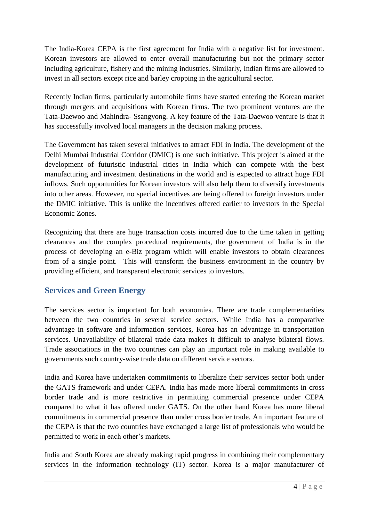The India-Korea CEPA is the first agreement for India with a negative list for investment. Korean investors are allowed to enter overall manufacturing but not the primary sector including agriculture, fishery and the mining industries. Similarly, Indian firms are allowed to invest in all sectors except rice and barley cropping in the agricultural sector.

Recently Indian firms, particularly automobile firms have started entering the Korean market through mergers and acquisitions with Korean firms. The two prominent ventures are the Tata-Daewoo and Mahindra- Ssangyong. A key feature of the Tata-Daewoo venture is that it has successfully involved local managers in the decision making process.

The Government has taken several initiatives to attract FDI in India. The development of the Delhi Mumbai Industrial Corridor (DMIC) is one such initiative. This project is aimed at the development of futuristic industrial cities in India which can compete with the best manufacturing and investment destinations in the world and is expected to attract huge FDI inflows. Such opportunities for Korean investors will also help them to diversify investments into other areas. However, no special incentives are being offered to foreign investors under the DMIC initiative. This is unlike the incentives offered earlier to investors in the Special Economic Zones.

Recognizing that there are huge transaction costs incurred due to the time taken in getting clearances and the complex procedural requirements, the government of India is in the process of developing an e-Biz program which will enable investors to obtain clearances from of a single point. This will transform the business environment in the country by providing efficient, and transparent electronic services to investors.

### **Services and Green Energy**

The services sector is important for both economies. There are trade complementarities between the two countries in several service sectors. While India has a comparative advantage in software and information services, Korea has an advantage in transportation services. Unavailability of bilateral trade data makes it difficult to analyse bilateral flows. Trade associations in the two countries can play an important role in making available to governments such country-wise trade data on different service sectors.

India and Korea have undertaken commitments to liberalize their services sector both under the GATS framework and under CEPA. India has made more liberal commitments in cross border trade and is more restrictive in permitting commercial presence under CEPA compared to what it has offered under GATS. On the other hand Korea has more liberal commitments in commercial presence than under cross border trade. An important feature of the CEPA is that the two countries have exchanged a large list of professionals who would be permitted to work in each other"s markets.

India and South Korea are already making rapid progress in combining their complementary services in the information technology (IT) sector. Korea is a major manufacturer of